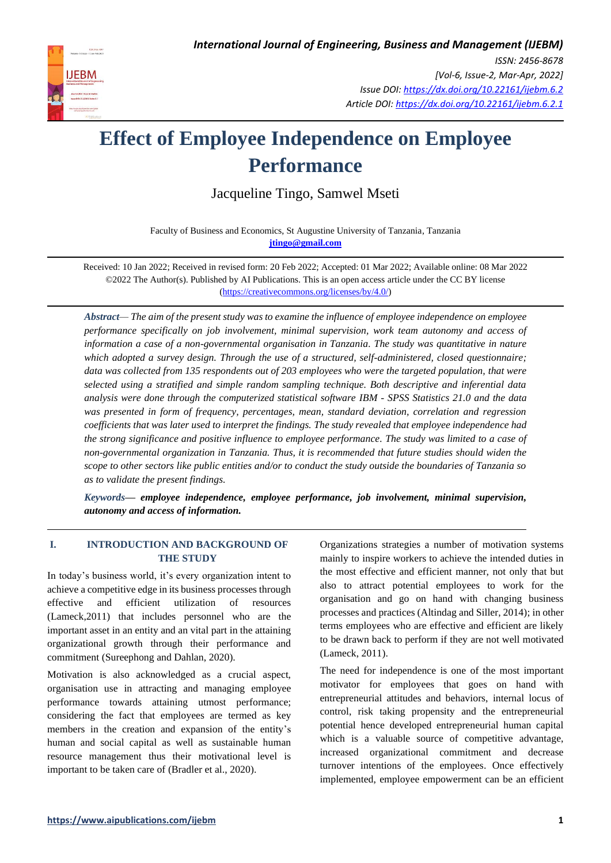

# **Effect of Employee Independence on Employee Performance**

Jacqueline Tingo, Samwel Mseti

Faculty of Business and Economics, St Augustine University of Tanzania, Tanzania **[jtingo@gmail.com](mailto:jtingo@gmail.com)**

Received: 10 Jan 2022; Received in revised form: 20 Feb 2022; Accepted: 01 Mar 2022; Available online: 08 Mar 2022 ©2022 The Author(s). Published by AI Publications. This is an open access article under the CC BY license [\(https://creativecommons.org/licenses/by/4.0/\)](https://creativecommons.org/licenses/by/4.0/)

*Abstract— The aim of the present study was to examine the influence of employee independence on employee performance specifically on job involvement, minimal supervision, work team autonomy and access of information a case of a non-governmental organisation in Tanzania. The study was quantitative in nature which adopted a survey design. Through the use of a structured, self-administered, closed questionnaire; data was collected from 135 respondents out of 203 employees who were the targeted population, that were selected using a stratified and simple random sampling technique. Both descriptive and inferential data analysis were done through the computerized statistical software IBM - SPSS Statistics 21.0 and the data was presented in form of frequency, percentages, mean, standard deviation, correlation and regression coefficients that was later used to interpret the findings. The study revealed that employee independence had the strong significance and positive influence to employee performance. The study was limited to a case of non-governmental organization in Tanzania. Thus, it is recommended that future studies should widen the scope to other sectors like public entities and/or to conduct the study outside the boundaries of Tanzania so as to validate the present findings.*

*Keywords— employee independence, employee performance, job involvement, minimal supervision, autonomy and access of information.*

# **I. INTRODUCTION AND BACKGROUND OF THE STUDY**

In today's business world, it's every organization intent to achieve a competitive edge in its business processes through effective and efficient utilization of resources (Lameck,2011) that includes personnel who are the important asset in an entity and an vital part in the attaining organizational growth through their performance and commitment (Sureephong and Dahlan, 2020).

Motivation is also acknowledged as a crucial aspect, organisation use in attracting and managing employee performance towards attaining utmost performance; considering the fact that employees are termed as key members in the creation and expansion of the entity's human and social capital as well as sustainable human resource management thus their motivational level is important to be taken care of (Bradler et al., 2020).

Organizations strategies a number of motivation systems mainly to inspire workers to achieve the intended duties in the most effective and efficient manner, not only that but also to attract potential employees to work for the organisation and go on hand with changing business processes and practices (Altindag and Siller, 2014); in other terms employees who are effective and efficient are likely to be drawn back to perform if they are not well motivated (Lameck, 2011).

The need for independence is one of the most important motivator for employees that goes on hand with entrepreneurial attitudes and behaviors, internal locus of control, risk taking propensity and the entrepreneurial potential hence developed entrepreneurial human capital which is a valuable source of competitive advantage, increased organizational commitment and decrease turnover intentions of the employees. Once effectively implemented, employee empowerment can be an efficient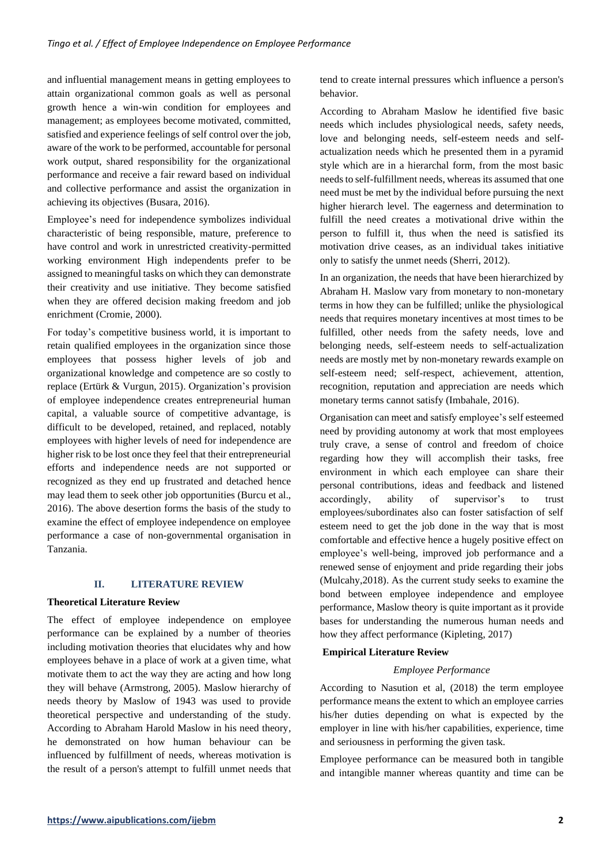and influential management means in getting employees to attain organizational common goals as well as personal growth hence a win-win condition for employees and management; as employees become motivated, committed, satisfied and experience feelings of self control over the job, aware of the work to be performed, accountable for personal work output, shared responsibility for the organizational performance and receive a fair reward based on individual and collective performance and assist the organization in achieving its objectives (Busara, 2016).

Employee's need for independence symbolizes individual characteristic of being responsible, mature, preference to have control and work in unrestricted creativity-permitted working environment High independents prefer to be assigned to meaningful tasks on which they can demonstrate their creativity and use initiative. They become satisfied when they are offered decision making freedom and job enrichment (Cromie, 2000).

For today's competitive business world, it is important to retain qualified employees in the organization since those employees that possess higher levels of job and organizational knowledge and competence are so costly to replace (Ertürk & Vurgun, 2015). Organization's provision of employee independence creates entrepreneurial human capital, a valuable source of competitive advantage, is difficult to be developed, retained, and replaced, notably employees with higher levels of need for independence are higher risk to be lost once they feel that their entrepreneurial efforts and independence needs are not supported or recognized as they end up frustrated and detached hence may lead them to seek other job opportunities (Burcu et al., 2016). The above desertion forms the basis of the study to examine the effect of employee independence on employee performance a case of non-governmental organisation in Tanzania.

#### **II. LITERATURE REVIEW**

#### **Theoretical Literature Review**

The effect of employee independence on employee performance can be explained by a number of theories including motivation theories that elucidates why and how employees behave in a place of work at a given time, what motivate them to act the way they are acting and how long they will behave (Armstrong, 2005). Maslow hierarchy of needs theory by Maslow of 1943 was used to provide theoretical perspective and understanding of the study. According to Abraham Harold Maslow in his need theory, he demonstrated on how human behaviour can be influenced by fulfillment of needs, whereas motivation is the result of a person's attempt to fulfill unmet needs that tend to create internal pressures which influence a person's behavior.

According to Abraham Maslow he identified five basic needs which includes physiological needs, safety needs, love and belonging needs, self-esteem needs and selfactualization needs which he presented them in a pyramid style which are in a hierarchal form, from the most basic needs to self-fulfillment needs, whereas its assumed that one need must be met by the individual before pursuing the next higher hierarch level. The eagerness and determination to fulfill the need creates a motivational drive within the person to fulfill it, thus when the need is satisfied its motivation drive ceases, as an individual takes initiative only to satisfy the unmet needs (Sherri, 2012).

In an organization, the needs that have been hierarchized by Abraham H. Maslow vary from monetary to non-monetary terms in how they can be fulfilled; unlike the physiological needs that requires monetary incentives at most times to be fulfilled, other needs from the safety needs, love and belonging needs, self-esteem needs to self-actualization needs are mostly met by non-monetary rewards example on self-esteem need; self-respect, achievement, attention, recognition, reputation and appreciation are needs which monetary terms cannot satisfy (Imbahale, 2016).

Organisation can meet and satisfy employee's self esteemed need by providing autonomy at work that most employees truly crave, a sense of control and freedom of choice regarding how they will accomplish their tasks, free environment in which each employee can share their personal contributions, ideas and feedback and listened accordingly, ability of supervisor's to trust employees/subordinates also can foster satisfaction of self esteem need to get the job done in the way that is most comfortable and effective hence a hugely positive effect on employee's well-being, improved job performance and a renewed sense of enjoyment and pride regarding their jobs [\(Mulcahy,](https://exclusive.multibriefs.com/author/lisa-mulcahy)2018). As the current study seeks to examine the bond between employee independence and employee performance, Maslow theory is quite important as it provide bases for understanding the numerous human needs and how they affect performance (Kipleting, 2017)

#### **Empirical Literature Review**

#### *Employee Performance*

According to Nasution et al, (2018) the term employee performance means the extent to which an employee carries his/her duties depending on what is expected by the employer in line with his/her capabilities, experience, time and seriousness in performing the given task.

Employee performance can be measured both in tangible and intangible manner whereas quantity and time can be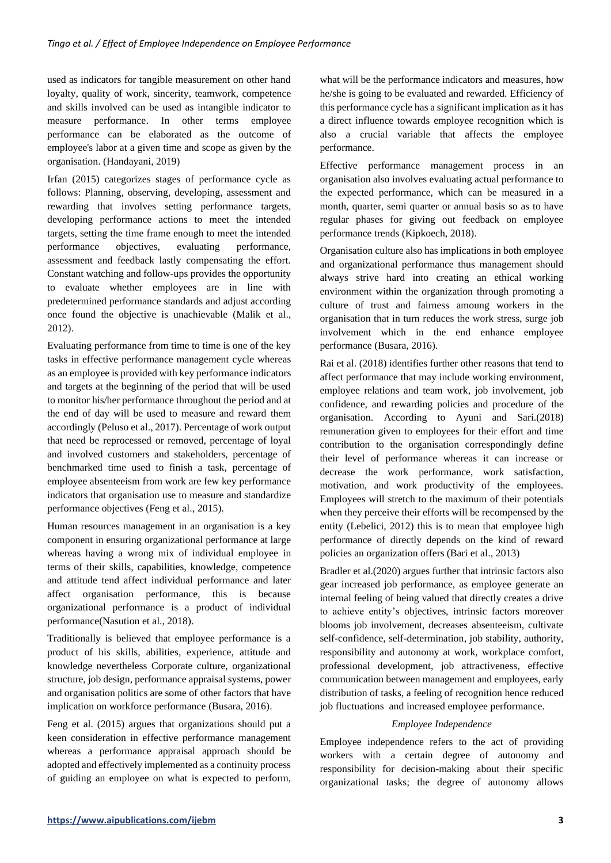used as indicators for tangible measurement on other hand loyalty, quality of work, sincerity, teamwork, competence and skills involved can be used as intangible indicator to measure performance. In other terms employee performance can be elaborated as the outcome of employee's labor at a given time and scope as given by the organisation. (Handayani, 2019)

Irfan (2015) categorizes stages of performance cycle as follows: Planning, observing, developing, assessment and rewarding that involves setting performance targets, developing performance actions to meet the intended targets, setting the time frame enough to meet the intended performance objectives, evaluating performance, assessment and feedback lastly compensating the effort. Constant watching and follow-ups provides the opportunity to evaluate whether employees are in line with predetermined performance standards and adjust according once found the objective is unachievable (Malik et al., 2012).

Evaluating performance from time to time is one of the key tasks in effective performance management cycle whereas as an employee is provided with key performance indicators and targets at the beginning of the period that will be used to monitor his/her performance throughout the period and at the end of day will be used to measure and reward them accordingly (Peluso et al., 2017). Percentage of work output that need be reprocessed or removed, percentage of loyal and involved customers and stakeholders, percentage of benchmarked time used to finish a task, percentage of employee absenteeism from work are few key performance indicators that organisation use to measure and standardize performance objectives (Feng et al., 2015).

Human resources management in an organisation is a key component in ensuring organizational performance at large whereas having a wrong mix of individual employee in terms of their skills, capabilities, knowledge, competence and attitude tend affect individual performance and later affect organisation performance, this is because organizational performance is a product of individual performance(Nasution et al., 2018).

Traditionally is believed that employee performance is a product of his skills, abilities, experience, attitude and knowledge nevertheless Corporate culture, organizational structure, job design, performance appraisal systems, power and organisation politics are some of other factors that have implication on workforce performance (Busara, 2016).

Feng et al. (2015) argues that organizations should put a keen consideration in effective performance management whereas a performance appraisal approach should be adopted and effectively implemented as a continuity process of guiding an employee on what is expected to perform, what will be the performance indicators and measures, how he/she is going to be evaluated and rewarded. Efficiency of this performance cycle has a significant implication as it has a direct influence towards employee recognition which is also a crucial variable that affects the employee performance.

Effective performance management process in an organisation also involves evaluating actual performance to the expected performance, which can be measured in a month, quarter, semi quarter or annual basis so as to have regular phases for giving out feedback on employee performance trends (Kipkoech, 2018).

Organisation culture also has implications in both employee and organizational performance thus management should always strive hard into creating an ethical working environment within the organization through promoting a culture of trust and fairness amoung workers in the organisation that in turn reduces the work stress, surge job involvement which in the end enhance employee performance (Busara, 2016).

Rai et al. (2018) identifies further other reasons that tend to affect performance that may include working environment, employee relations and team work, job involvement, job confidence, and rewarding policies and procedure of the organisation. According to Ayuni and Sari.(2018) remuneration given to employees for their effort and time contribution to the organisation correspondingly define their level of performance whereas it can increase or decrease the work performance, work satisfaction, motivation, and work productivity of the employees. Employees will stretch to the maximum of their potentials when they perceive their efforts will be recompensed by the entity (Lebelici, 2012) this is to mean that employee high performance of directly depends on the kind of reward policies an organization offers (Bari et al., 2013)

Bradler et al.(2020) argues further that intrinsic factors also gear increased job performance, as employee generate an internal feeling of being valued that directly creates a drive to achieve entity's objectives, intrinsic factors moreover blooms job involvement, decreases absenteeism, cultivate self-confidence, self-determination, job stability, authority, responsibility and autonomy at work, workplace comfort, professional development, job attractiveness, effective communication between management and employees, early distribution of tasks, a feeling of recognition hence reduced job fluctuations and increased employee performance.

# *Employee Independence*

Employee independence refers to the act of providing workers with a certain degree of autonomy and responsibility for decision-making about their specific organizational tasks; the degree of autonomy allows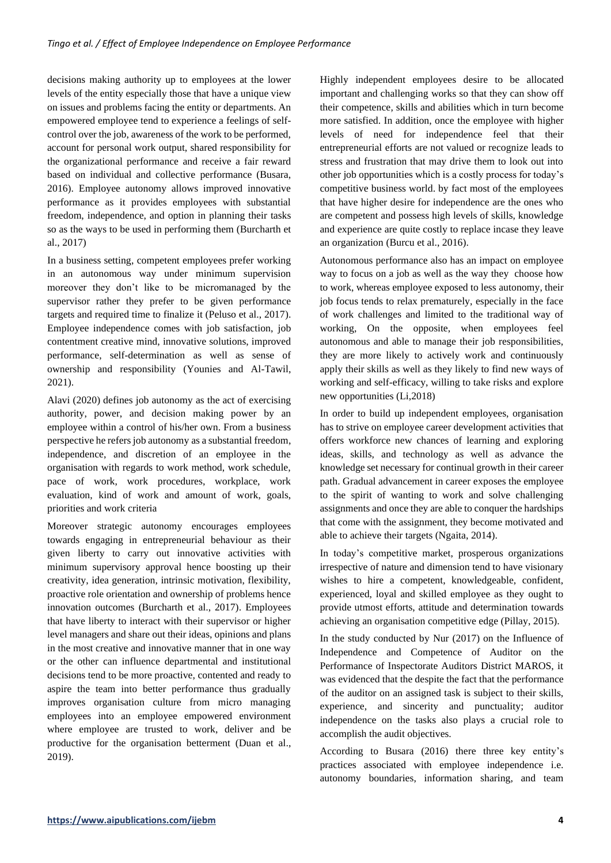decisions making authority up to employees at the lower levels of the entity especially those that have a unique view on issues and problems facing the entity or departments. An empowered employee tend to experience a feelings of selfcontrol over the job, awareness of the work to be performed, account for personal work output, shared responsibility for the organizational performance and receive a fair reward based on individual and collective performance (Busara, 2016). Employee autonomy allows improved innovative performance as it provides employees with substantial freedom, independence, and option in planning their tasks so as the ways to be used in performing them (Burcharth et al., 2017)

In a business setting, competent employees prefer working in an autonomous way under minimum supervision moreover they don't like to be micromanaged by the supervisor rather they prefer to be given performance targets and required time to finalize it (Peluso et al., 2017). Employee independence comes with job satisfaction, job contentment creative mind, innovative solutions, improved performance, self-determination as well as sense of ownership and responsibility (Younies and Al-Tawil, 2021).

Alavi (2020) defines job autonomy as the act of exercising authority, power, and decision making power by an employee within a control of his/her own. From a business perspective he refers job autonomy as a substantial freedom, independence, and discretion of an employee in the organisation with regards to work method, work schedule, pace of work, work procedures, workplace, work evaluation, kind of work and amount of work, goals, priorities and work criteria

Moreover strategic autonomy encourages employees towards engaging in entrepreneurial behaviour as their given liberty to carry out innovative activities with minimum supervisory approval hence boosting up their creativity, idea generation, intrinsic motivation, flexibility, proactive role orientation and ownership of problems hence innovation outcomes (Burcharth et al., 2017). Employees that have liberty to interact with their supervisor or higher level managers and share out their ideas, opinions and plans in the most creative and innovative manner that in one way or the other can influence departmental and institutional decisions tend to be more proactive, contented and ready to aspire the team into better performance thus gradually improves organisation culture from micro managing employees into an employee empowered environment where employee are trusted to work, deliver and be productive for the organisation betterment (Duan et al., 2019).

Highly independent employees desire to be allocated important and challenging works so that they can show off their competence, skills and abilities which in turn become more satisfied. In addition, once the employee with higher levels of need for independence feel that their entrepreneurial efforts are not valued or recognize leads to stress and frustration that may drive them to look out into other job opportunities which is a costly process for today's competitive business world. by fact most of the employees that have higher desire for independence are the ones who are competent and possess high levels of skills, knowledge and experience are quite costly to replace incase they leave an organization (Burcu et al., 2016).

Autonomous performance also has an impact on employee way to focus on a job as well as the way they choose how to work, whereas employee exposed to less autonomy, their job focus tends to relax prematurely, especially in the face of work challenges and limited to the traditional way of working, On the opposite, when employees feel autonomous and able to manage their job responsibilities, they are more likely to actively work and continuously apply their skills as well as they likely to find new ways of working and self-efficacy, willing to take risks and explore new opportunities (Li,2018)

In order to build up independent employees, organisation has to strive on employee career development activities that offers workforce new chances of learning and exploring ideas, skills, and technology as well as advance the knowledge set necessary for continual growth in their career path. Gradual advancement in career exposes the employee to the spirit of wanting to work and solve challenging assignments and once they are able to conquer the hardships that come with the assignment, they become motivated and able to achieve their targets (Ngaita, 2014).

In today's competitive market, prosperous organizations irrespective of nature and dimension tend to have visionary wishes to hire a competent, knowledgeable, confident, experienced, loyal and skilled employee as they ought to provide utmost efforts, attitude and determination towards achieving an organisation competitive edge (Pillay, 2015).

In the study conducted by Nur (2017) on the Influence of Independence and Competence of Auditor on the Performance of Inspectorate Auditors District MAROS, it was evidenced that the despite the fact that the performance of the auditor on an assigned task is subject to their skills, experience, and sincerity and punctuality; auditor independence on the tasks also plays a crucial role to accomplish the audit objectives.

According to Busara (2016) there three key entity's practices associated with employee independence i.e. autonomy boundaries, information sharing, and team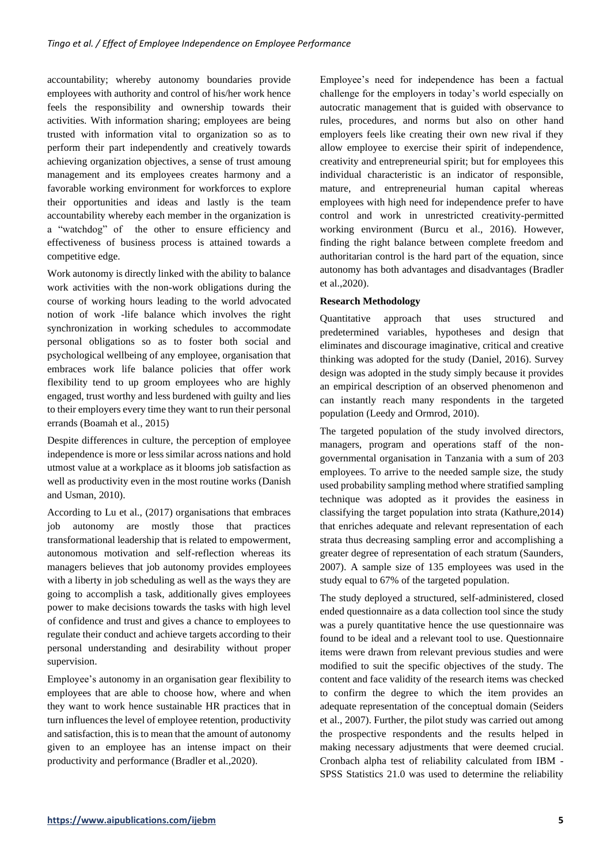accountability; whereby autonomy boundaries provide employees with authority and control of his/her work hence feels the responsibility and ownership towards their activities. With information sharing; employees are being trusted with information vital to organization so as to perform their part independently and creatively towards achieving organization objectives, a sense of trust amoung management and its employees creates harmony and a favorable working environment for workforces to explore their opportunities and ideas and lastly is the team accountability whereby each member in the organization is a "watchdog" of the other to ensure efficiency and effectiveness of business process is attained towards a competitive edge.

Work autonomy is directly linked with the ability to balance work activities with the non-work obligations during the course of working hours leading to the world advocated notion of work -life balance which involves the right synchronization in working schedules to accommodate personal obligations so as to foster both social and psychological wellbeing of any employee, organisation that embraces work life balance policies that offer work flexibility tend to up groom employees who are highly engaged, trust worthy and less burdened with guilty and lies to their employers every time they want to run their personal errands (Boamah et al., 2015)

Despite differences in culture, the perception of employee independence is more or less similar across nations and hold utmost value at a workplace as it blooms job satisfaction as well as productivity even in the most routine works (Danish and Usman, 2010).

According to Lu et al., (2017) organisations that embraces job autonomy are mostly those that practices transformational leadership that is related to empowerment, autonomous motivation and self-reflection whereas its managers believes that job autonomy provides employees with a liberty in job scheduling as well as the ways they are going to accomplish a task, additionally gives employees power to make decisions towards the tasks with high level of confidence and trust and gives a chance to employees to regulate their conduct and achieve targets according to their personal understanding and desirability without proper supervision.

Employee's autonomy in an organisation gear flexibility to employees that are able to choose how, where and when they want to work hence sustainable HR practices that in turn influences the level of employee retention, productivity and satisfaction, this is to mean that the amount of autonomy given to an employee has an intense impact on their productivity and performance (Bradler et al.,2020).

Employee's need for independence has been a factual challenge for the employers in today's world especially on autocratic management that is guided with observance to rules, procedures, and norms but also on other hand employers feels like creating their own new rival if they allow employee to exercise their spirit of independence, creativity and entrepreneurial spirit; but for employees this individual characteristic is an indicator of responsible, mature, and entrepreneurial human capital whereas employees with high need for independence prefer to have control and work in unrestricted creativity-permitted working environment (Burcu et al., 2016). However, finding the right balance between complete freedom and authoritarian control is the hard part of the equation, since autonomy has both advantages and disadvantages (Bradler et al.,2020).

## **Research Methodology**

Quantitative approach that uses structured and predetermined variables, hypotheses and design that eliminates and discourage imaginative, critical and creative thinking was adopted for the study (Daniel, 2016). Survey design was adopted in the study simply because it provides an empirical description of an observed phenomenon and can instantly reach many respondents in the targeted population (Leedy and Ormrod, 2010).

The targeted population of the study involved directors, managers, program and operations staff of the nongovernmental organisation in Tanzania with a sum of 203 employees. To arrive to the needed sample size, the study used probability sampling method where stratified sampling technique was adopted as it provides the easiness in classifying the target population into strata (Kathure,2014) that enriches adequate and relevant representation of each strata thus decreasing sampling error and accomplishing a greater degree of representation of each stratum (Saunders, 2007). A sample size of 135 employees was used in the study equal to 67% of the targeted population.

The study deployed a structured, self-administered, closed ended questionnaire as a data collection tool since the study was a purely quantitative hence the use questionnaire was found to be ideal and a relevant tool to use. Questionnaire items were drawn from relevant previous studies and were modified to suit the specific objectives of the study. The content and face validity of the research items was checked to confirm the degree to which the item provides an adequate representation of the conceptual domain (Seiders et al., 2007). Further, the pilot study was carried out among the prospective respondents and the results helped in making necessary adjustments that were deemed crucial. Cronbach alpha test of reliability calculated from IBM - SPSS Statistics 21.0 was used to determine the reliability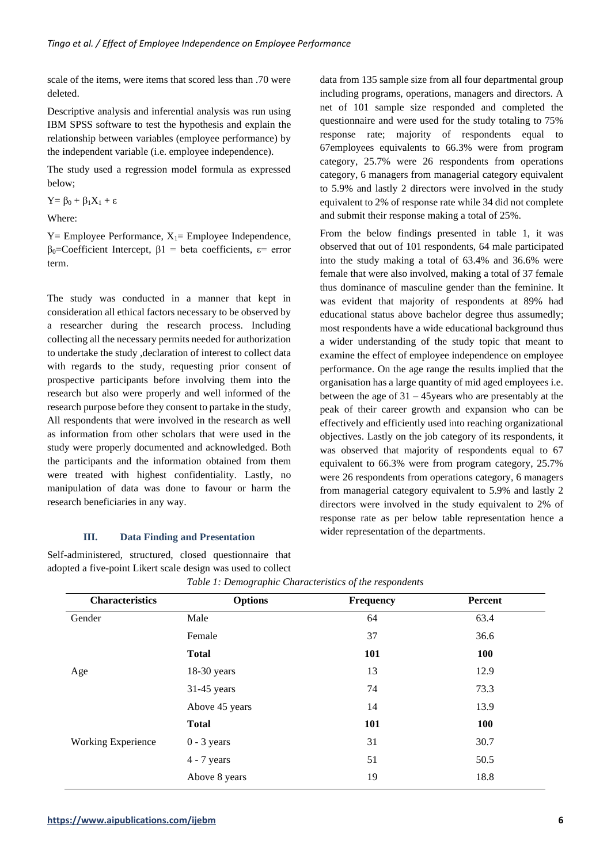scale of the items, were items that scored less than .70 were deleted.

Descriptive analysis and inferential analysis was run using IBM SPSS software to test the hypothesis and explain the relationship between variables (employee performance) by the independent variable (i.e. employee independence).

The study used a regression model formula as expressed below;

 $Y = \beta_0 + \beta_1 X_1 + \varepsilon$ 

Where:

 $Y =$  Employee Performance,  $X_1 =$  Employee Independence, β0=Coefficient Intercept, β1 = beta coefficients, ε= error term.

The study was conducted in a manner that kept in consideration all ethical factors necessary to be observed by a researcher during the research process. Including collecting all the necessary permits needed for authorization to undertake the study ,declaration of interest to collect data with regards to the study, requesting prior consent of prospective participants before involving them into the research but also were properly and well informed of the research purpose before they consent to partake in the study, All respondents that were involved in the research as well as information from other scholars that were used in the study were properly documented and acknowledged. Both the participants and the information obtained from them were treated with highest confidentiality. Lastly, no manipulation of data was done to favour or harm the research beneficiaries in any way.

## **III. Data Finding and Presentation**

Self-administered, structured, closed questionnaire that adopted a five-point Likert scale design was used to collect data from 135 sample size from all four departmental group including programs, operations, managers and directors. A net of 101 sample size responded and completed the questionnaire and were used for the study totaling to 75% response rate; majority of respondents equal to 67employees equivalents to 66.3% were from program category, 25.7% were 26 respondents from operations category, 6 managers from managerial category equivalent to 5.9% and lastly 2 directors were involved in the study equivalent to 2% of response rate while 34 did not complete and submit their response making a total of 25%.

From the below findings presented in table 1, it was observed that out of 101 respondents, 64 male participated into the study making a total of 63.4% and 36.6% were female that were also involved, making a total of 37 female thus dominance of masculine gender than the feminine. It was evident that majority of respondents at 89% had educational status above bachelor degree thus assumedly; most respondents have a wide educational background thus a wider understanding of the study topic that meant to examine the effect of employee independence on employee performance. On the age range the results implied that the organisation has a large quantity of mid aged employees i.e. between the age of 31 – 45years who are presentably at the peak of their career growth and expansion who can be effectively and efficiently used into reaching organizational objectives. Lastly on the job category of its respondents, it was observed that majority of respondents equal to 67 equivalent to 66.3% were from program category, 25.7% were 26 respondents from operations category, 6 managers from managerial category equivalent to 5.9% and lastly 2 directors were involved in the study equivalent to 2% of response rate as per below table representation hence a wider representation of the departments.

| <b>Characteristics</b>    | <b>Options</b> | <b>Frequency</b> | Percent |
|---------------------------|----------------|------------------|---------|
| Gender                    | Male           | 64               | 63.4    |
|                           | Female         | 37               | 36.6    |
|                           | <b>Total</b>   | 101              | 100     |
| Age                       | $18-30$ years  | 13               | 12.9    |
|                           | $31-45$ years  | 74               | 73.3    |
|                           | Above 45 years | 14               | 13.9    |
|                           | <b>Total</b>   | 101              | 100     |
| <b>Working Experience</b> | $0 - 3$ years  | 31               | 30.7    |
|                           | $4 - 7$ years  | 51               | 50.5    |
|                           | Above 8 years  | 19               | 18.8    |

|  |  |  | Table 1: Demographic Characteristics of the respondents |  |
|--|--|--|---------------------------------------------------------|--|
|  |  |  |                                                         |  |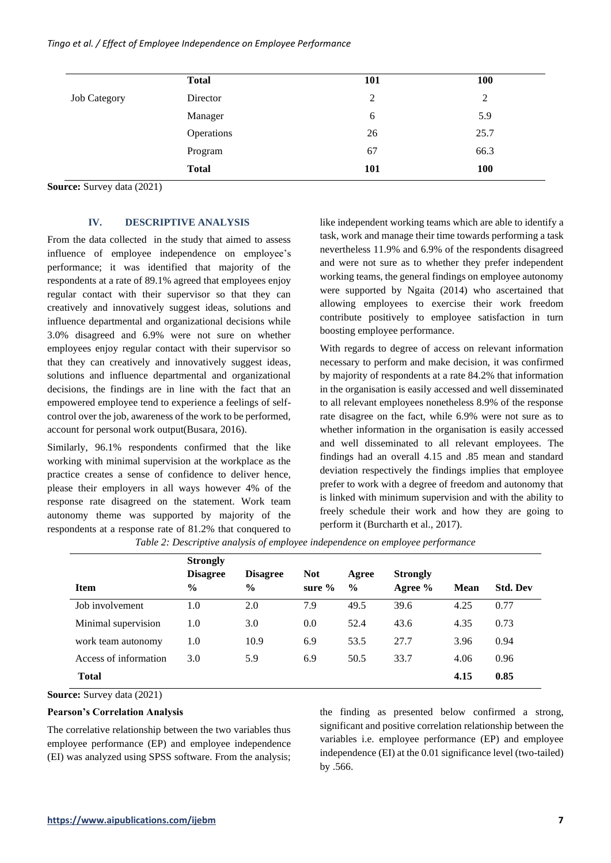### *Tingo et al. / Effect of Employee Independence on Employee Performance*

|                     | <b>Total</b> | <b>101</b> | 100        |
|---------------------|--------------|------------|------------|
| <b>Job Category</b> | Director     | 2          | 2          |
|                     | Manager      | 6          | 5.9        |
|                     | Operations   | 26         | 25.7       |
|                     | Program      | 67         | 66.3       |
|                     | <b>Total</b> | <b>101</b> | <b>100</b> |

**Source:** Survey data (2021)

# **IV. DESCRIPTIVE ANALYSIS**

From the data collected in the study that aimed to assess influence of employee independence on employee's performance; it was identified that majority of the respondents at a rate of 89.1% agreed that employees enjoy regular contact with their supervisor so that they can creatively and innovatively suggest ideas, solutions and influence departmental and organizational decisions while 3.0% disagreed and 6.9% were not sure on whether employees enjoy regular contact with their supervisor so that they can creatively and innovatively suggest ideas, solutions and influence departmental and organizational decisions, the findings are in line with the fact that an empowered employee tend to experience a feelings of selfcontrol over the job, awareness of the work to be performed, account for personal work output(Busara, 2016).

Similarly, 96.1% respondents confirmed that the like working with minimal supervision at the workplace as the practice creates a sense of confidence to deliver hence, please their employers in all ways however 4% of the response rate disagreed on the statement. Work team autonomy theme was supported by majority of the respondents at a response rate of 81.2% that conquered to

like independent working teams which are able to identify a task, work and manage their time towards performing a task nevertheless 11.9% and 6.9% of the respondents disagreed and were not sure as to whether they prefer independent working teams, the general findings on employee autonomy were supported by Ngaita (2014) who ascertained that allowing employees to exercise their work freedom contribute positively to employee satisfaction in turn boosting employee performance.

With regards to degree of access on relevant information necessary to perform and make decision, it was confirmed by majority of respondents at a rate 84.2% that information in the organisation is easily accessed and well disseminated to all relevant employees nonetheless 8.9% of the response rate disagree on the fact, while 6.9% were not sure as to whether information in the organisation is easily accessed and well disseminated to all relevant employees. The findings had an overall 4.15 and .85 mean and standard deviation respectively the findings implies that employee prefer to work with a degree of freedom and autonomy that is linked with minimum supervision and with the ability to freely schedule their work and how they are going to perform it (Burcharth et al., 2017).

|                       | <b>Strongly</b>                  |                                  |                         |                        |                            |             |                 |
|-----------------------|----------------------------------|----------------------------------|-------------------------|------------------------|----------------------------|-------------|-----------------|
| <b>Item</b>           | <b>Disagree</b><br>$\frac{6}{9}$ | <b>Disagree</b><br>$\frac{0}{0}$ | <b>Not</b><br>sure $\%$ | Agree<br>$\frac{6}{9}$ | <b>Strongly</b><br>Agree % | <b>Mean</b> | <b>Std. Dev</b> |
| Job involvement       | 1.0                              | 2.0                              | 7.9                     | 49.5                   | 39.6                       | 4.25        | 0.77            |
| Minimal supervision   | 1.0                              | 3.0                              | 0.0                     | 52.4                   | 43.6                       | 4.35        | 0.73            |
| work team autonomy    | $1.0\,$                          | 10.9                             | 6.9                     | 53.5                   | 27.7                       | 3.96        | 0.94            |
| Access of information | 3.0                              | 5.9                              | 6.9                     | 50.5                   | 33.7                       | 4.06        | 0.96            |
| <b>Total</b>          |                                  |                                  |                         |                        |                            | 4.15        | 0.85            |

*Table 2: Descriptive analysis of employee independence on employee performance*

**Source:** Survey data (2021)

#### **Pearson's Correlation Analysis**

The correlative relationship between the two variables thus employee performance (EP) and employee independence (EI) was analyzed using SPSS software. From the analysis;

the finding as presented below confirmed a strong, significant and positive correlation relationship between the variables i.e. employee performance (EP) and employee independence (EI) at the 0.01 significance level (two-tailed) by .566.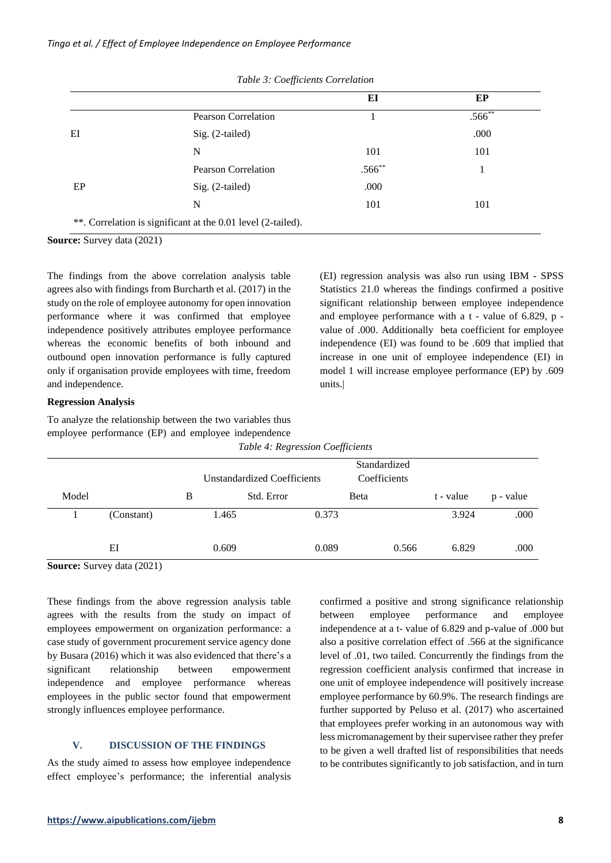|    |                                                              | EI          | EP          |
|----|--------------------------------------------------------------|-------------|-------------|
|    | <b>Pearson Correlation</b>                                   |             | $.566^{**}$ |
| EI | Sig. (2-tailed)                                              |             | .000        |
|    | N                                                            | 101         | 101         |
|    | <b>Pearson Correlation</b>                                   | $.566^{**}$ |             |
| EP | Sig. (2-tailed)                                              | .000        |             |
|    | N                                                            | 101         | 101         |
|    | **. Correlation is significant at the 0.01 level (2-tailed). |             |             |

|  |  |  | Table 3: Coefficients Correlation |
|--|--|--|-----------------------------------|
|--|--|--|-----------------------------------|

**Source:** Survey data (2021)

The findings from the above correlation analysis table agrees also with findings from Burcharth et al. (2017) in the study on the role of employee autonomy for open innovation performance where it was confirmed that employee independence positively attributes employee performance whereas the economic benefits of both inbound and outbound open innovation performance is fully captured only if organisation provide employees with time, freedom and independence.

(EI) regression analysis was also run using IBM - SPSS Statistics 21.0 whereas the findings confirmed a positive significant relationship between employee independence and employee performance with a t - value of 6.829, p value of .000. Additionally beta coefficient for employee independence (EI) was found to be .609 that implied that increase in one unit of employee independence (EI) in model 1 will increase employee performance (EP) by .609 units.|

#### **Regression Analysis**

To analyze the relationship between the two variables thus employee performance (EP) and employee independence

| Table 4: Regression Coefficients |            |       |                                                                    |       |           |           |  |
|----------------------------------|------------|-------|--------------------------------------------------------------------|-------|-----------|-----------|--|
|                                  |            |       | Standardized<br>Coefficients<br><b>Unstandardized Coefficients</b> |       |           |           |  |
| Model                            |            | В     | Std. Error                                                         | Beta  | t - value | p - value |  |
|                                  | (Constant) | 1.465 | 0.373                                                              |       | 3.924     | .000      |  |
| $\tilde{\phantom{a}}$<br>$\sim$  | ΕI<br>.    | 0.609 | 0.089                                                              | 0.566 | 6.829     | .000      |  |

**Source:** Survey data (2021)

These findings from the above regression analysis table agrees with the results from the study on impact of employees empowerment on organization performance: a case study of government procurement service agency done by Busara (2016) which it was also evidenced that there's a significant relationship between empowerment independence and employee performance whereas employees in the public sector found that empowerment strongly influences employee performance.

### **V. DISCUSSION OF THE FINDINGS**

As the study aimed to assess how employee independence effect employee's performance; the inferential analysis confirmed a positive and strong significance relationship between employee performance and employee independence at a t- value of 6.829 and p-value of .000 but also a positive correlation effect of .566 at the significance level of .01, two tailed. Concurrently the findings from the regression coefficient analysis confirmed that increase in one unit of employee independence will positively increase employee performance by 60.9%. The research findings are further supported by Peluso et al. (2017) who ascertained that employees prefer working in an autonomous way with less micromanagement by their supervisee rather they prefer to be given a well drafted list of responsibilities that needs to be contributes significantly to job satisfaction, and in turn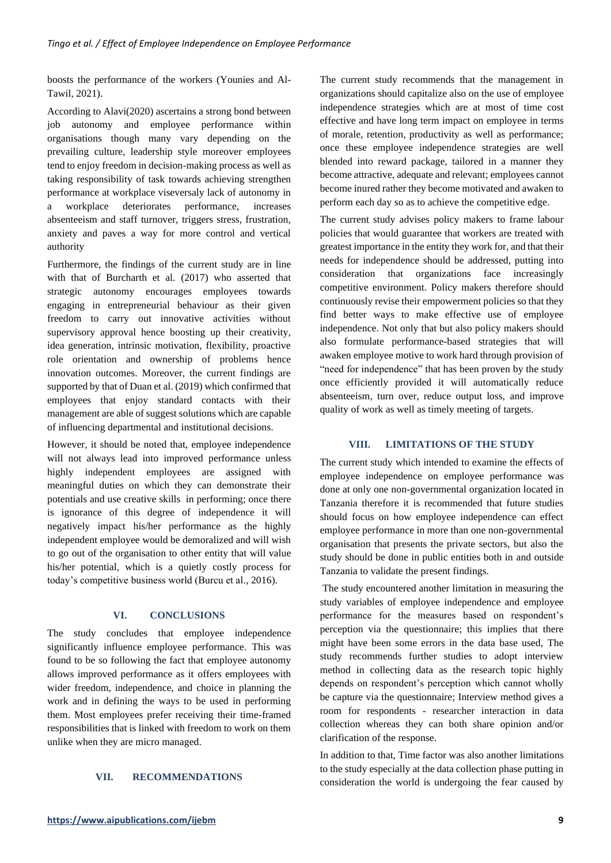boosts the performance of the workers (Younies and Al-Tawil, 2021).

According to Alavi(2020) ascertains a strong bond between job autonomy and employee performance within organisations though many vary depending on the prevailing culture, leadership style moreover employees tend to enjoy freedom in decision-making process as well as taking responsibility of task towards achieving strengthen performance at workplace viseversaly lack of autonomy in a workplace deteriorates performance, increases absenteeism and staff turnover, triggers stress, frustration, anxiety and paves a way for more control and vertical authority

Furthermore, the findings of the current study are in line with that of Burcharth et al. (2017) who asserted that strategic autonomy encourages employees towards engaging in entrepreneurial behaviour as their given freedom to carry out innovative activities without supervisory approval hence boosting up their creativity, idea generation, intrinsic motivation, flexibility, proactive role orientation and ownership of problems hence innovation outcomes. Moreover, the current findings are supported by that of Duan et al. (2019) which confirmed that employees that enjoy standard contacts with their management are able of suggest solutions which are capable of influencing departmental and institutional decisions.

However, it should be noted that, employee independence will not always lead into improved performance unless highly independent employees are assigned with meaningful duties on which they can demonstrate their potentials and use creative skills in performing; once there is ignorance of this degree of independence it will negatively impact his/her performance as the highly independent employee would be demoralized and will wish to go out of the organisation to other entity that will value his/her potential, which is a quietly costly process for today's competitive business world (Burcu et al., 2016).

# **VI. CONCLUSIONS**

The study concludes that employee independence significantly influence employee performance. This was found to be so following the fact that employee autonomy allows improved performance as it offers employees with wider freedom, independence, and choice in planning the work and in defining the ways to be used in performing them. Most employees prefer receiving their time-framed responsibilities that is linked with freedom to work on them unlike when they are micro managed.

#### **VII. RECOMMENDATIONS**

The current study recommends that the management in organizations should capitalize also on the use of employee independence strategies which are at most of time cost effective and have long term impact on employee in terms of morale, retention, productivity as well as performance; once these employee independence strategies are well blended into reward package, tailored in a manner they become attractive, adequate and relevant; employees cannot become inured rather they become motivated and awaken to perform each day so as to achieve the competitive edge.

The current study advises policy makers to frame labour policies that would guarantee that workers are treated with greatest importance in the entity they work for, and that their needs for independence should be addressed, putting into consideration that organizations face increasingly competitive environment. Policy makers therefore should continuously revise their empowerment policies so that they find better ways to make effective use of employee independence. Not only that but also policy makers should also formulate performance-based strategies that will awaken employee motive to work hard through provision of "need for independence" that has been proven by the study once efficiently provided it will automatically reduce absenteeism, turn over, reduce output loss, and improve quality of work as well as timely meeting of targets.

# **VIII. LIMITATIONS OF THE STUDY**

The current study which intended to examine the effects of employee independence on employee performance was done at only one non-governmental organization located in Tanzania therefore it is recommended that future studies should focus on how employee independence can effect employee performance in more than one non-governmental organisation that presents the private sectors, but also the study should be done in public entities both in and outside Tanzania to validate the present findings.

The study encountered another limitation in measuring the study variables of employee independence and employee performance for the measures based on respondent's perception via the questionnaire; this implies that there might have been some errors in the data base used, The study recommends further studies to adopt interview method in collecting data as the research topic highly depends on respondent's perception which cannot wholly be capture via the questionnaire; Interview method gives a room for respondents - researcher interaction in data collection whereas they can both share opinion and/or clarification of the response.

In addition to that, Time factor was also another limitations to the study especially at the data collection phase putting in consideration the world is undergoing the fear caused by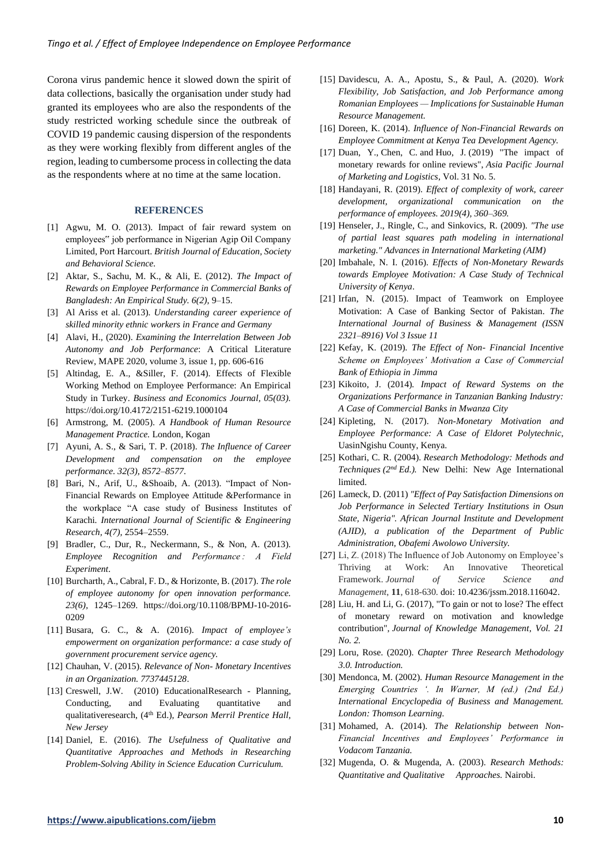Corona virus pandemic hence it slowed down the spirit of data collections, basically the organisation under study had granted its employees who are also the respondents of the study restricted working schedule since the outbreak of COVID 19 pandemic causing dispersion of the respondents as they were working flexibly from different angles of the region, leading to cumbersome process in collecting the data as the respondents where at no time at the same location.

#### **REFERENCES**

- [1] Agwu, M. O. (2013). Impact of fair reward system on employees" job performance in Nigerian Agip Oil Company Limited, Port Harcourt. *British Journal of Education, Society and Behavioral Science.*
- [2] Aktar, S., Sachu, M. K., & Ali, E. (2012). *The Impact of Rewards on Employee Performance in Commercial Banks of Bangladesh: An Empirical Study. 6(2),* 9–15.
- [3] Al Ariss et al. (2013)*. Understanding career experience of skilled minority ethnic workers in France and Germany*
- [4] Alavi, H., (2020). *Examining the Interrelation Between Job Autonomy and Job Performance*: A Critical Literature Review, MAPE 2020, volume 3, issue 1, pp. 606-616
- [5] Altindag, E. A., &Siller, F. (2014). Effects of Flexible Working Method on Employee Performance: An Empirical Study in Turkey. *Business and Economics Journal, 05(03).*  https://doi.org/10.4172/2151-6219.1000104
- [6] Armstrong, M. (2005). *A Handbook of Human Resource Management Practice.* London, Kogan
- [7] Ayuni, A. S., & Sari, T. P. (2018). *The Influence of Career Development and compensation on the employee performance. 32(3), 8572–8577*.
- [8] Bari, N., Arif, U., &Shoaib, A. (2013). "Impact of Non-Financial Rewards on Employee Attitude &Performance in the workplace "A case study of Business Institutes of Karachi*. International Journal of Scientific & Engineering Research, 4(7),* 2554–2559.
- [9] Bradler, C., Dur, R., Neckermann, S., & Non, A. (2013). *Employee Recognition and Performance : A Field Experiment*.
- [10] Burcharth, A., Cabral, F. D., & Horizonte, B. (2017). *The role of employee autonomy for open innovation performance. 23(6),* 1245–1269. https://doi.org/10.1108/BPMJ-10-2016- 020*9*
- [11] Busara, G. C., & A. (2016). *Impact of employee's empowerment on organization performance: a case study of government procurement service agency.*
- [12] Chauhan, V. (2015). *Relevance of Non- Monetary Incentives in an Organization. 7737445128*.
- [13] Creswell, J.W. (2010) EducationalResearch Planning, Conducting, and Evaluating quantitative and qualitativeresearch, (4th Ed.)*, Pearson Merril Prentice Hall, New Jersey*
- [14] Daniel, E. (2016). *The Usefulness of Qualitative and Quantitative Approaches and Methods in Researching Problem-Solving Ability in Science Education Curriculum.*
- [15] Davidescu, A. A., Apostu, S., & Paul, A. (2020). *Work Flexibility, Job Satisfaction, and Job Performance among Romanian Employees — Implications for Sustainable Human Resource Management.*
- [16] Doreen, K. (2014). *Influence of Non-Financial Rewards on Employee Commitment at Kenya Tea Development Agency.*
- [17] [Duan, Y.,](https://www.emerald.com/insight/search?q=Yongrui%20Duan) [Chen, C.](https://www.emerald.com/insight/search?q=Chen%20Chen) and [Huo, J.](https://www.emerald.com/insight/search?q=Jiazhen%20Huo) (2019) "The impact of monetary rewards for online reviews", *[Asia Pacific Journal](https://www.emerald.com/insight/publication/issn/1355-5855)  [of Marketing and Logistics](https://www.emerald.com/insight/publication/issn/1355-5855)*, Vol. 31 No. 5.
- [18] Handayani, R. (2019). *Effect of complexity of work, career development, organizational communication on the performance of employees. 2019(4), 360–369.*
- [19] Henseler, J., Ringle, C., and Sinkovics, R. (2009)*. "The use of partial least squares path modeling in international marketing." Advances in International Marketing (AIM)*
- [20] Imbahale, N. I. (2016). *Effects of Non-Monetary Rewards towards Employee Motivation: A Case Study of Technical University of Kenya*.
- [21] Irfan, N. (2015). Impact of Teamwork on Employee Motivation: A Case of Banking Sector of Pakistan. *The International Journal of Business & Management (ISSN 2321–8916) Vol 3 Issue 11*
- [22] Kefay, K. (2019)*. The Effect of Non- Financial Incentive Scheme on Employees' Motivation a Case of Commercial Bank of Ethiopia in Jimma*
- [23] Kikoito, J. (2014)*. Impact of Reward Systems on the Organizations Performance in Tanzanian Banking Industry: A Case of Commercial Banks in Mwanza City*
- [24] Kipleting, N. (2017). *Non-Monetary Motivation and Employee Performance: A Case of Eldoret Polytechnic,*  UasinNgishu County, Kenya.
- [25] Kothari, C. R. (2004). *Research Methodology: Methods and Techniques (2nd Ed.).* New Delhi: New Age International limited.
- [26] Lameck, D. (2011) *"Effect of Pay Satisfaction Dimensions on Job Performance in Selected Tertiary Institutions in Osun State, Nigeria". African Journal Institute and Development (AJID), a publication of the Department of Public Administration, Obafemi Awolowo University.*
- [27] Li, Z. (2018) The Influence of Job Autonomy on Employee's Thriving at Work: An Innovative Theoretical Framework. *Journal of Service Science and Management*, **11**, 618-630. doi: [10.4236/jssm.2018.116042.](https://doi.org/10.4236/jssm.2018.116042)
- [28] [Liu, H.](https://www.emerald.com/insight/search?q=Haixin%20Liu) and [Li, G.](https://www.emerald.com/insight/search?q=Guiquan%20Li) (2017), "To gain or not to lose? The effect of monetary reward on motivation and knowledge contribution"*, [Journal of Knowledge Management,](https://www.emerald.com/insight/publication/issn/1367-3270) Vol. 21 No. 2.*
- [29] Loru, Rose. (2020). *Chapter Three Research Methodology 3.0. Introduction.*
- [30] Mendonca, M. (2002)*. Human Resource Management in the Emerging Countries '. In Warner, M (ed.) (2nd Ed.) International Encyclopedia of Business and Management. London: Thomson Learning.*
- [31] Mohamed, A. (2014). *The Relationship between Non-Financial Incentives and Employees' Performance in Vodacom Tanzania.*
- [32] Mugenda, O. & Mugenda, A. (2003). *Research Methods: Quantitative and Qualitative Approaches.* Nairobi.